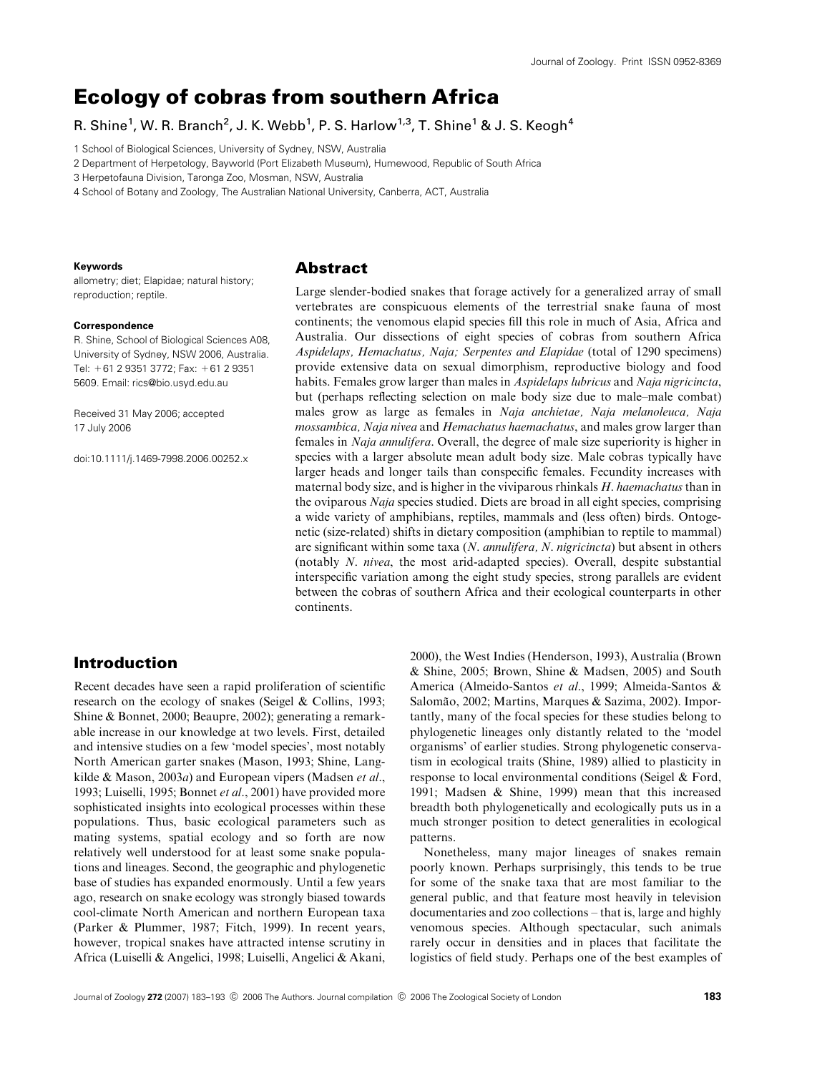# Ecology of cobras from southern Africa

R. Shine $^1$ , W. R. Branch $^2$ , J. K. Webb $^1$ , P. S. Harlow $^{1,3}$ , T. Shine $^1$  & J. S. Keogh $^4$ 

1 School of Biological Sciences, University of Sydney, NSW, Australia

2 Department of Herpetology, Bayworld (Port Elizabeth Museum), Humewood, Republic of South Africa

3 Herpetofauna Division, Taronga Zoo, Mosman, NSW, Australia

4 School of Botany and Zoology, The Australian National University, Canberra, ACT, Australia

#### **Keywords**

allometry; diet; Elapidae; natural history; reproduction; reptile.

#### **Correspondence**

R. Shine, School of Biological Sciences A08, University of Sydney, NSW 2006, Australia. Tel: +61 2 9351 3772; Fax: +61 2 9351 5609. Email: rics@bio.usyd.edu.au

Received 31 May 2006; accepted 17 July 2006

doi:10.1111/j.1469-7998.2006.00252.x

## Abstract

Large slender-bodied snakes that forage actively for a generalized array of small vertebrates are conspicuous elements of the terrestrial snake fauna of most continents; the venomous elapid species fill this role in much of Asia, Africa and Australia. Our dissections of eight species of cobras from southern Africa Aspidelaps, Hemachatus, Naja; Serpentes and Elapidae (total of 1290 specimens) provide extensive data on sexual dimorphism, reproductive biology and food habits. Females grow larger than males in Aspidelaps lubricus and Naja nigricincta, but (perhaps reflecting selection on male body size due to male–male combat) males grow as large as females in Naja anchietae, Naja melanoleuca, Naja mossambica, Naja nivea and Hemachatus haemachatus, and males grow larger than females in Naja annulifera. Overall, the degree of male size superiority is higher in species with a larger absolute mean adult body size. Male cobras typically have larger heads and longer tails than conspecific females. Fecundity increases with maternal body size, and is higher in the viviparous rhinkals H. haemachatus than in the oviparous Naja species studied. Diets are broad in all eight species, comprising a wide variety of amphibians, reptiles, mammals and (less often) birds. Ontogenetic (size-related) shifts in dietary composition (amphibian to reptile to mammal) are significant within some taxa  $(N$ . *annulifera*, N. *nigricincta*) but absent in others (notably N. nivea, the most arid-adapted species). Overall, despite substantial interspecific variation among the eight study species, strong parallels are evident between the cobras of southern Africa and their ecological counterparts in other continents.

## Introduction

Recent decades have seen a rapid proliferation of scientific research on the ecology of snakes (Seigel & Collins, 1993; Shine & Bonnet, 2000; Beaupre, 2002); generating a remarkable increase in our knowledge at two levels. First, detailed and intensive studies on a few 'model species', most notably North American garter snakes (Mason, 1993; Shine, Langkilde & Mason, 2003a) and European vipers (Madsen et al., 1993; Luiselli, 1995; Bonnet et al., 2001) have provided more sophisticated insights into ecological processes within these populations. Thus, basic ecological parameters such as mating systems, spatial ecology and so forth are now relatively well understood for at least some snake populations and lineages. Second, the geographic and phylogenetic base of studies has expanded enormously. Until a few years ago, research on snake ecology was strongly biased towards cool-climate North American and northern European taxa (Parker & Plummer, 1987; Fitch, 1999). In recent years, however, tropical snakes have attracted intense scrutiny in Africa (Luiselli & Angelici, 1998; Luiselli, Angelici & Akani,

2000), the West Indies (Henderson, 1993), Australia (Brown & Shine, 2005; Brown, Shine & Madsen, 2005) and South America (Almeido-Santos et al., 1999; Almeida-Santos & Salomão, 2002; Martins, Marques & Sazima, 2002). Importantly, many of the focal species for these studies belong to phylogenetic lineages only distantly related to the 'model organisms' of earlier studies. Strong phylogenetic conservatism in ecological traits (Shine, 1989) allied to plasticity in response to local environmental conditions (Seigel & Ford, 1991; Madsen & Shine, 1999) mean that this increased breadth both phylogenetically and ecologically puts us in a much stronger position to detect generalities in ecological patterns.

Nonetheless, many major lineages of snakes remain poorly known. Perhaps surprisingly, this tends to be true for some of the snake taxa that are most familiar to the general public, and that feature most heavily in television documentaries and zoo collections – that is, large and highly venomous species. Although spectacular, such animals rarely occur in densities and in places that facilitate the logistics of field study. Perhaps one of the best examples of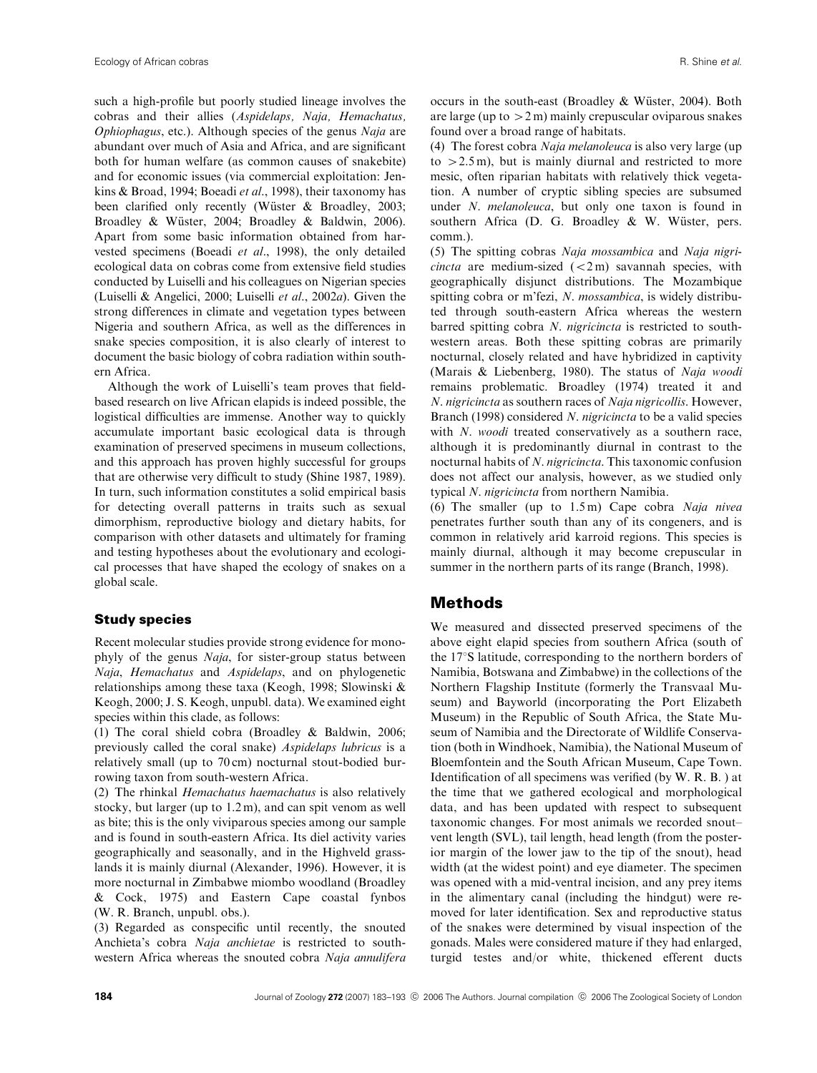such a high-profile but poorly studied lineage involves the cobras and their allies (Aspidelaps, Naja, Hemachatus, Ophiophagus, etc.). Although species of the genus Naja are abundant over much of Asia and Africa, and are significant both for human welfare (as common causes of snakebite) and for economic issues (via commercial exploitation: Jenkins & Broad, 1994; Boeadi et al., 1998), their taxonomy has been clarified only recently (Wüster & Broadley, 2003; Broadley & Wüster, 2004; Broadley & Baldwin, 2006). Apart from some basic information obtained from harvested specimens (Boeadi et al., 1998), the only detailed ecological data on cobras come from extensive field studies conducted by Luiselli and his colleagues on Nigerian species (Luiselli & Angelici, 2000; Luiselli et al., 2002a). Given the strong differences in climate and vegetation types between Nigeria and southern Africa, as well as the differences in snake species composition, it is also clearly of interest to document the basic biology of cobra radiation within southern Africa.

Although the work of Luiselli's team proves that fieldbased research on live African elapids is indeed possible, the logistical difficulties are immense. Another way to quickly accumulate important basic ecological data is through examination of preserved specimens in museum collections, and this approach has proven highly successful for groups that are otherwise very difficult to study (Shine 1987, 1989). In turn, such information constitutes a solid empirical basis for detecting overall patterns in traits such as sexual dimorphism, reproductive biology and dietary habits, for comparison with other datasets and ultimately for framing and testing hypotheses about the evolutionary and ecological processes that have shaped the ecology of snakes on a global scale.

## Study species

Recent molecular studies provide strong evidence for monophyly of the genus Naja, for sister-group status between Naja, Hemachatus and Aspidelaps, and on phylogenetic relationships among these taxa (Keogh, 1998; Slowinski & Keogh, 2000; J. S. Keogh, unpubl. data). We examined eight species within this clade, as follows:

(1) The coral shield cobra (Broadley & Baldwin, 2006; previously called the coral snake) Aspidelaps lubricus is a relatively small (up to 70 cm) nocturnal stout-bodied burrowing taxon from south-western Africa.

(2) The rhinkal Hemachatus haemachatus is also relatively stocky, but larger (up to 1.2 m), and can spit venom as well as bite; this is the only viviparous species among our sample and is found in south-eastern Africa. Its diel activity varies geographically and seasonally, and in the Highveld grasslands it is mainly diurnal (Alexander, 1996). However, it is more nocturnal in Zimbabwe miombo woodland (Broadley & Cock, 1975) and Eastern Cape coastal fynbos (W. R. Branch, unpubl. obs.).

(3) Regarded as conspecific until recently, the snouted Anchieta's cobra Naja anchietae is restricted to southwestern Africa whereas the snouted cobra Naja annulifera occurs in the south-east (Broadley & Wüster, 2004). Both are large (up to  $>2$  m) mainly crepuscular oviparous snakes found over a broad range of habitats.

(4) The forest cobra Naja melanoleuca is also very large (up to  $>2.5$  m), but is mainly diurnal and restricted to more mesic, often riparian habitats with relatively thick vegetation. A number of cryptic sibling species are subsumed under N. melanoleuca, but only one taxon is found in southern Africa (D. G. Broadley  $&$  W. Wüster, pers. comm.).

(5) The spitting cobras Naja mossambica and Naja nigri*cincta* are medium-sized  $(< 2 m)$  savannah species, with geographically disjunct distributions. The Mozambique spitting cobra or m'fezi, N. mossambica, is widely distributed through south-eastern Africa whereas the western barred spitting cobra N. nigricincta is restricted to southwestern areas. Both these spitting cobras are primarily nocturnal, closely related and have hybridized in captivity (Marais & Liebenberg, 1980). The status of Naja woodi remains problematic. Broadley (1974) treated it and N. nigricincta as southern races of Naja nigricollis. However, Branch (1998) considered N. nigricincta to be a valid species with *N. woodi* treated conservatively as a southern race, although it is predominantly diurnal in contrast to the nocturnal habits of N. nigricincta. This taxonomic confusion does not affect our analysis, however, as we studied only typical N. nigricincta from northern Namibia.

(6) The smaller (up to  $1.5 \text{ m}$ ) Cape cobra Naja nivea penetrates further south than any of its congeners, and is common in relatively arid karroid regions. This species is mainly diurnal, although it may become crepuscular in summer in the northern parts of its range (Branch, 1998).

# Methods

We measured and dissected preserved specimens of the above eight elapid species from southern Africa (south of the 17<sup>o</sup>S latitude, corresponding to the northern borders of Namibia, Botswana and Zimbabwe) in the collections of the Northern Flagship Institute (formerly the Transvaal Museum) and Bayworld (incorporating the Port Elizabeth Museum) in the Republic of South Africa, the State Museum of Namibia and the Directorate of Wildlife Conservation (both in Windhoek, Namibia), the National Museum of Bloemfontein and the South African Museum, Cape Town. Identification of all specimens was verified (by W. R. B. ) at the time that we gathered ecological and morphological data, and has been updated with respect to subsequent taxonomic changes. For most animals we recorded snout– vent length (SVL), tail length, head length (from the posterior margin of the lower jaw to the tip of the snout), head width (at the widest point) and eye diameter. The specimen was opened with a mid-ventral incision, and any prey items in the alimentary canal (including the hindgut) were removed for later identification. Sex and reproductive status of the snakes were determined by visual inspection of the gonads. Males were considered mature if they had enlarged, turgid testes and/or white, thickened efferent ducts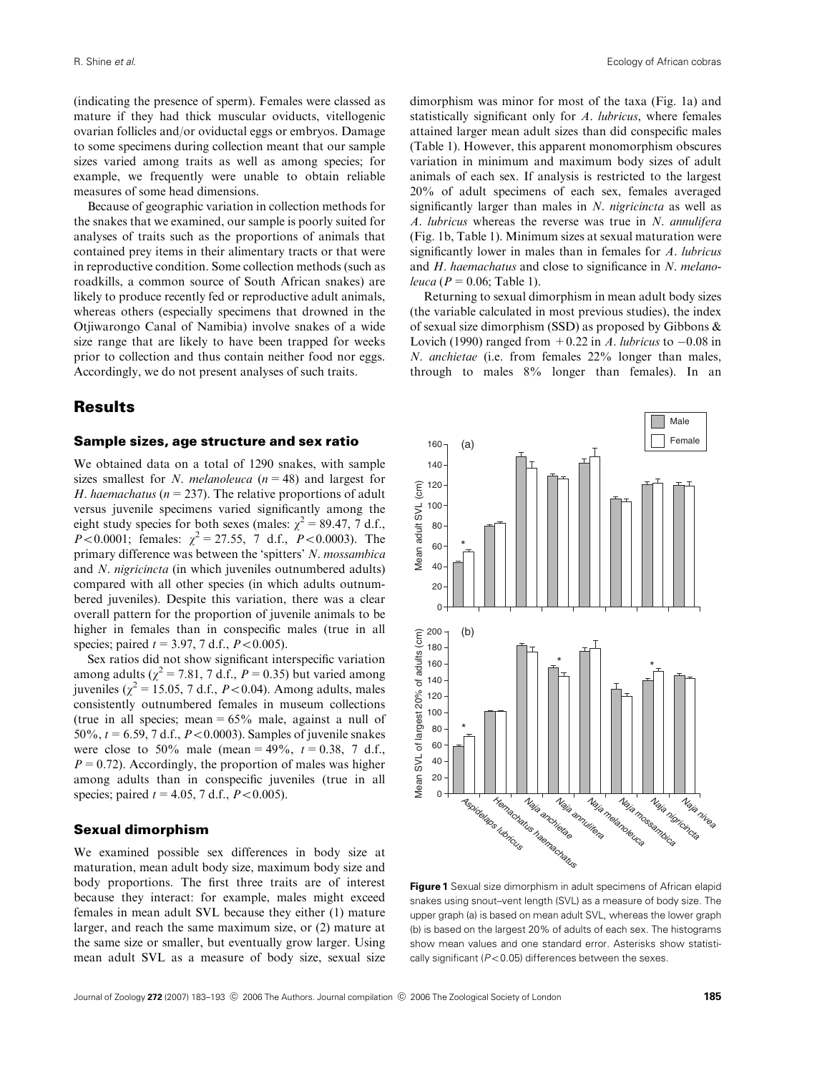(indicating the presence of sperm). Females were classed as mature if they had thick muscular oviducts, vitellogenic ovarian follicles and/or oviductal eggs or embryos. Damage to some specimens during collection meant that our sample sizes varied among traits as well as among species; for example, we frequently were unable to obtain reliable measures of some head dimensions.

Because of geographic variation in collection methods for the snakes that we examined, our sample is poorly suited for analyses of traits such as the proportions of animals that contained prey items in their alimentary tracts or that were in reproductive condition. Some collection methods (such as roadkills, a common source of South African snakes) are likely to produce recently fed or reproductive adult animals, whereas others (especially specimens that drowned in the Otjiwarongo Canal of Namibia) involve snakes of a wide size range that are likely to have been trapped for weeks prior to collection and thus contain neither food nor eggs. Accordingly, we do not present analyses of such traits.

## **Results**

## Sample sizes, age structure and sex ratio

We obtained data on a total of 1290 snakes, with sample sizes smallest for N. *melanoleuca* ( $n=48$ ) and largest for H. haemachatus ( $n = 237$ ). The relative proportions of adult versus juvenile specimens varied significantly among the eight study species for both sexes (males:  $\chi^2 = 89.47, 7$  d.f.,  $P < 0.0001$ ; females:  $\chi^2 = 27.55$ , 7 d.f.,  $P < 0.0003$ ). The primary difference was between the 'spitters' N. mossambica and N. nigricincta (in which juveniles outnumbered adults) compared with all other species (in which adults outnumbered juveniles). Despite this variation, there was a clear overall pattern for the proportion of juvenile animals to be higher in females than in conspecific males (true in all species; paired  $t = 3.97, 7$  d.f.,  $P < 0.005$ ).

Sex ratios did not show significant interspecific variation among adults ( $\chi^2$  = 7.81, 7 d.f., *P* = 0.35) but varied among juveniles ( $\chi^2$  = 15.05, 7 d.f., *P* < 0.04). Among adults, males consistently outnumbered females in museum collections (true in all species; mean  $= 65\%$  male, against a null of 50%,  $t = 6.59, 7$  d.f.,  $P < 0.0003$ ). Samples of juvenile snakes were close to 50% male (mean =  $49\%, t = 0.38, 7$  d.f.,  $P = 0.72$ ). Accordingly, the proportion of males was higher among adults than in conspecific juveniles (true in all species; paired  $t = 4.05$ , 7 d.f.,  $P < 0.005$ ).

## Sexual dimorphism

We examined possible sex differences in body size at maturation, mean adult body size, maximum body size and body proportions. The first three traits are of interest because they interact: for example, males might exceed females in mean adult SVL because they either (1) mature larger, and reach the same maximum size, or (2) mature at the same size or smaller, but eventually grow larger. Using mean adult SVL as a measure of body size, sexual size

dimorphism was minor for most of the taxa (Fig. 1a) and statistically significant only for A. lubricus, where females attained larger mean adult sizes than did conspecific males (Table 1). However, this apparent monomorphism obscures variation in minimum and maximum body sizes of adult animals of each sex. If analysis is restricted to the largest 20% of adult specimens of each sex, females averaged significantly larger than males in N. nigricincta as well as A. lubricus whereas the reverse was true in N. annulifera (Fig. 1b, Table 1). Minimum sizes at sexual maturation were significantly lower in males than in females for A. lubricus and H. haemachatus and close to significance in N. melano*leuca* ( $P = 0.06$ ; Table 1).

Returning to sexual dimorphism in mean adult body sizes (the variable calculated in most previous studies), the index of sexual size dimorphism (SSD) as proposed by Gibbons & Lovich (1990) ranged from  $+0.22$  in A. lubricus to  $-0.08$  in N. anchietae (i.e. from females 22% longer than males, through to males 8% longer than females). In an



**Figure 1** Sexual size dimorphism in adult specimens of African elapid snakes using snout–vent length (SVL) as a measure of body size. The upper graph (a) is based on mean adult SVL, whereas the lower graph (b) is based on the largest 20% of adults of each sex. The histograms show mean values and one standard error. Asterisks show statistically significant ( $P<0.05$ ) differences between the sexes.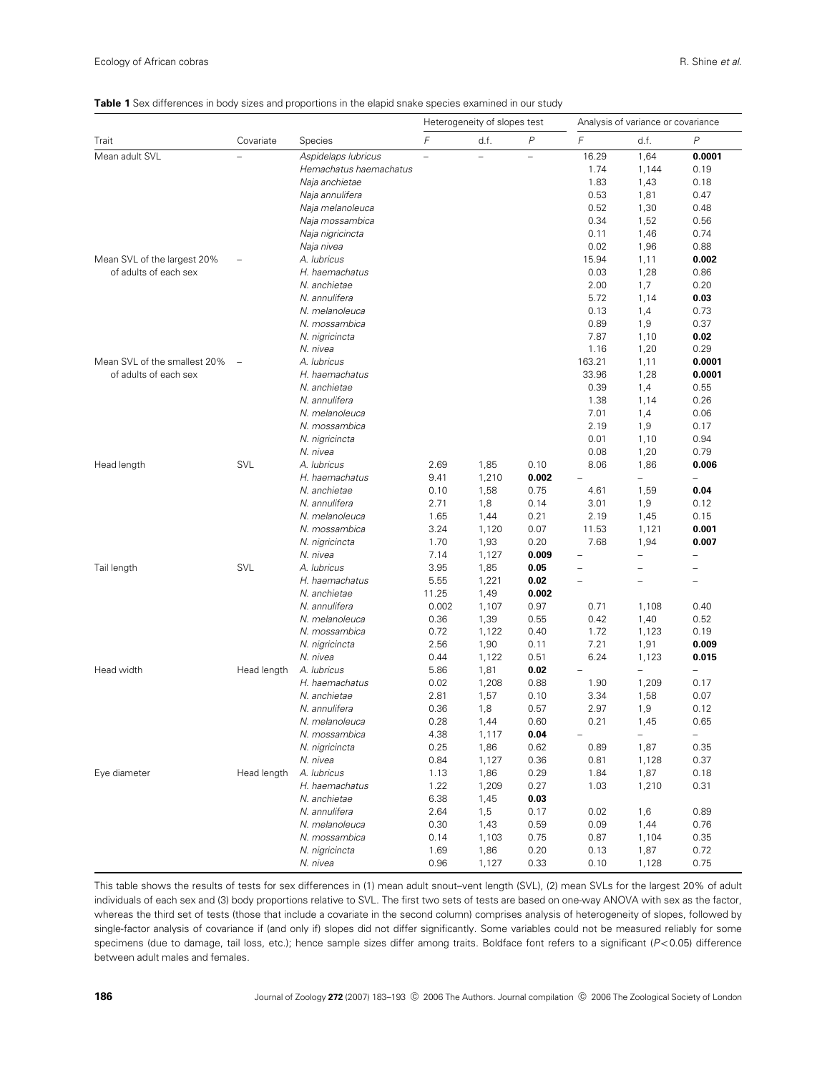#### Table 1 Sex differences in body sizes and proportions in the elapid snake species examined in our study

| Trait                        | Covariate   | Species                       | Heterogeneity of slopes test |                |                          | Analysis of variance or covariance |                          |                          |
|------------------------------|-------------|-------------------------------|------------------------------|----------------|--------------------------|------------------------------------|--------------------------|--------------------------|
|                              |             |                               | F                            | d.f.           | $\overline{P}$           | F                                  | d.f.                     | $\overline{P}$           |
| Mean adult SVL               |             | Aspidelaps lubricus           | $\qquad \qquad -$            | $\overline{a}$ | $\overline{\phantom{0}}$ | 16.29                              | 1,64                     | 0.0001                   |
|                              |             | Hemachatus haemachatus        |                              |                |                          | 1.74                               | 1,144                    | 0.19                     |
|                              |             | Naia anchietae                |                              |                |                          | 1.83                               | 1,43                     | 0.18                     |
|                              |             | Naja annulifera               |                              |                |                          | 0.53                               | 1,81                     | 0.47                     |
|                              |             | Naja melanoleuca              |                              |                |                          | 0.52                               | 1,30                     | 0.48                     |
|                              |             | Naja mossambica               |                              |                |                          | 0.34                               | 1,52                     | 0.56                     |
|                              |             | Naja nigricincta              |                              |                |                          | 0.11                               | 1,46                     | 0.74                     |
|                              |             | Naja nivea                    |                              |                |                          | 0.02                               | 1,96                     | 0.88                     |
| Mean SVL of the largest 20%  |             | A. lubricus                   |                              |                |                          | 15.94                              | 1,11                     | 0.002                    |
| of adults of each sex        |             | H. haemachatus                |                              |                |                          | 0.03                               | 1,28                     | 0.86                     |
|                              |             | N. anchietae                  |                              |                |                          | 2.00                               | 1,7                      | 0.20                     |
|                              |             | N. annulifera                 |                              |                |                          | 5.72                               | 1,14                     | 0.03                     |
|                              |             | N. melanoleuca                |                              |                |                          | 0.13                               | 1,4                      | 0.73                     |
|                              |             | N. mossambica                 |                              |                |                          | 0.89                               | 1,9                      | 0.37                     |
|                              |             | N. nigricincta                |                              |                |                          | 7.87                               | 1,10                     | 0.02                     |
|                              |             | N. nivea                      |                              |                |                          | 1.16                               | 1,20                     | 0.29                     |
| Mean SVL of the smallest 20% |             | A. lubricus                   |                              |                |                          | 163.21                             | 1,11                     | 0.0001                   |
| of adults of each sex        |             | H. haemachatus                |                              |                |                          | 33.96                              | 1,28                     | 0.0001                   |
|                              |             | N. anchietae                  |                              |                |                          | 0.39                               | 1,4                      | 0.55                     |
|                              |             | N. annulifera                 |                              |                |                          | 1.38                               | 1,14                     | 0.26                     |
|                              |             | N. melanoleuca                |                              |                |                          | 7.01                               | 1,4                      | 0.06                     |
|                              |             | N. mossambica                 |                              |                |                          | 2.19                               | 1,9                      | 0.17                     |
|                              |             | N. nigricincta                |                              |                |                          | 0.01                               | 1,10                     | 0.94                     |
|                              |             | N. nivea                      |                              |                |                          | 0.08                               | 1,20                     | 0.79                     |
| Head length                  | SVL         | A. lubricus                   | 2.69                         | 1,85           | 0.10                     | 8.06                               | 1,86                     | 0.006                    |
|                              |             | H. haemachatus                | 9.41                         | 1,210          | 0.002                    | ÷                                  | $\equiv$                 | $\overline{\phantom{0}}$ |
|                              |             | N. anchietae                  | 0.10                         | 1,58           | 0.75                     | 4.61                               | 1,59                     | 0.04                     |
|                              |             | N. annulifera                 | 2.71                         | 1,8            | 0.14                     | 3.01                               | 1,9                      | 0.12                     |
|                              |             | N. melanoleuca                | 1.65                         | 1,44           | 0.21                     | 2.19                               | 1,45                     | 0.15                     |
|                              |             | N. mossambica                 | 3.24                         | 1,120          | 0.07                     | 11.53                              | 1,121                    | 0.001                    |
|                              |             | N. nigricincta                | 1.70                         | 1,93           | 0.20                     | 7.68                               | 1,94                     | 0.007                    |
|                              |             | N. nivea                      | 7.14                         | 1,127          | 0.009                    | $\overline{\phantom{0}}$           | $\overline{\phantom{0}}$ | $\overline{\phantom{0}}$ |
|                              | SVL         | A. lubricus                   | 3.95                         |                | 0.05                     | ÷                                  | $\overline{\phantom{0}}$ | $\qquad \qquad -$        |
| Tail length                  |             | H. haemachatus                | 5.55                         | 1,85<br>1,221  | 0.02                     | $\overline{\phantom{0}}$           | ÷,                       | ÷,                       |
|                              |             |                               |                              |                | 0.002                    |                                    |                          |                          |
|                              |             | N. anchietae<br>N. annulifera | 11.25                        | 1,49           |                          |                                    |                          |                          |
|                              |             |                               | 0.002                        | 1,107          | 0.97                     | 0.71                               | 1,108                    | 0.40                     |
|                              |             | N. melanoleuca                | 0.36                         | 1,39           | 0.55                     | 0.42                               | 1,40                     | 0.52                     |
|                              |             | N. mossambica                 | 0.72                         | 1,122          | 0.40                     | 1.72                               | 1,123                    | 0.19                     |
|                              |             | N. nigricincta                | 2.56                         | 1,90           | 0.11                     | 7.21                               | 1,91                     | 0.009                    |
|                              |             | N. nivea                      | 0.44                         | 1,122          | 0.51                     | 6.24                               | 1,123                    | 0.015                    |
| Head width                   | Head length | A. lubricus                   | 5.86                         | 1,81           | 0.02                     |                                    | $\overline{\phantom{0}}$ | $\qquad \qquad -$        |
|                              |             | H. haemachatus                | 0.02                         | 1,208          | 0.88                     | 1.90                               | 1,209                    | 0.17                     |
|                              |             | N. anchietae                  | 2.81                         | 1,57           | 0.10                     | 3.34                               | 1,58                     | 0.07                     |
|                              |             | N. annulifera                 | 0.36                         | 1,8            | 0.57                     | 2.97                               | 1,9                      | 0.12                     |
|                              |             | N. melanoleuca                | 0.28                         | 1,44           | 0.60                     | 0.21                               | 1,45                     | 0.65                     |
|                              |             | N. mossambica                 | 4.38                         | 1,117          | 0.04                     | $\overline{\phantom{0}}$           | $\overline{\phantom{0}}$ | $\overline{\phantom{0}}$ |
|                              |             | N. nigricincta                | 0.25                         | 1,86           | 0.62                     | 0.89                               | 1,87                     | 0.35                     |
|                              |             | N. nivea                      | 0.84                         | 1,127          | 0.36                     | 0.81                               | 1,128                    | 0.37                     |
| Eye diameter                 | Head length | A. lubricus                   | 1.13                         | 1,86           | 0.29                     | 1.84                               | 1,87                     | 0.18                     |
|                              |             | H. haemachatus                | 1.22                         | 1,209          | 0.27                     | 1.03                               | 1,210                    | 0.31                     |
|                              |             | N. anchietae                  | 6.38                         | 1,45           | 0.03                     |                                    |                          |                          |
|                              |             | N. annulifera                 | 2.64                         | 1,5            | 0.17                     | 0.02                               | 1,6                      | 0.89                     |
|                              |             | N. melanoleuca                | 0.30                         | 1,43           | 0.59                     | 0.09                               | 1,44                     | 0.76                     |
|                              |             | N. mossambica                 | 0.14                         | 1,103          | 0.75                     | 0.87                               | 1,104                    | 0.35                     |
|                              |             | N. nigricincta                | 1.69                         | 1,86           | 0.20                     | 0.13                               | 1,87                     | 0.72                     |
|                              |             | N. nivea                      | 0.96                         | 1,127          | 0.33                     | 0.10                               | 1,128                    | 0.75                     |

This table shows the results of tests for sex differences in (1) mean adult snout–vent length (SVL), (2) mean SVLs for the largest 20% of adult individuals of each sex and (3) body proportions relative to SVL. The first two sets of tests are based on one-way ANOVA with sex as the factor, whereas the third set of tests (those that include a covariate in the second column) comprises analysis of heterogeneity of slopes, followed by single-factor analysis of covariance if (and only if) slopes did not differ significantly. Some variables could not be measured reliably for some specimens (due to damage, tail loss, etc.); hence sample sizes differ among traits. Boldface font refers to a significant (P<0.05) difference between adult males and females.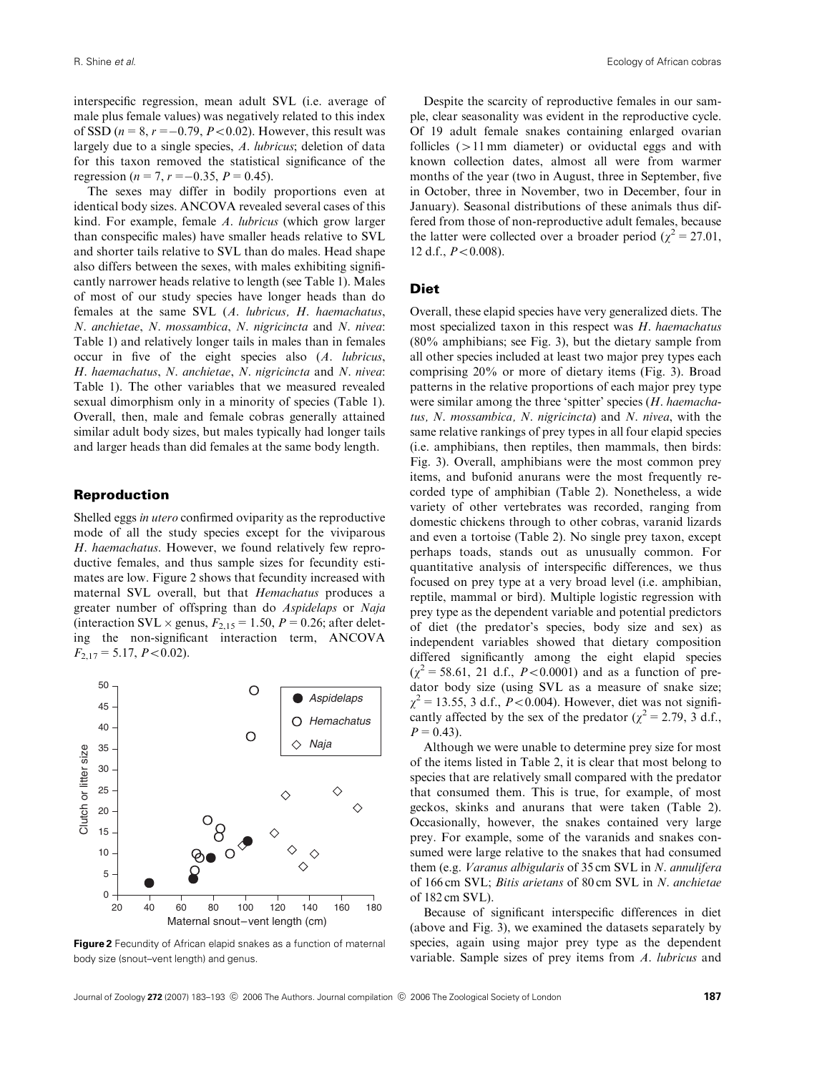interspecific regression, mean adult SVL (i.e. average of male plus female values) was negatively related to this index of SSD  $(n = 8, r = -0.79, P < 0.02)$ . However, this result was largely due to a single species, A. lubricus; deletion of data for this taxon removed the statistical significance of the regression ( $n = 7$ ,  $r = -0.35$ ,  $P = 0.45$ ).

The sexes may differ in bodily proportions even at identical body sizes. ANCOVA revealed several cases of this kind. For example, female A. lubricus (which grow larger than conspecific males) have smaller heads relative to SVL and shorter tails relative to SVL than do males. Head shape also differs between the sexes, with males exhibiting significantly narrower heads relative to length (see Table 1). Males of most of our study species have longer heads than do females at the same SVL (A. lubricus, H. haemachatus, N. anchietae, N. mossambica, N. nigricincta and N. nivea: Table 1) and relatively longer tails in males than in females occur in five of the eight species also (A. lubricus, H. haemachatus, N. anchietae, N. nigricincta and N. nivea: Table 1). The other variables that we measured revealed sexual dimorphism only in a minority of species (Table 1). Overall, then, male and female cobras generally attained similar adult body sizes, but males typically had longer tails and larger heads than did females at the same body length.

## Reproduction

Shelled eggs in utero confirmed oviparity as the reproductive mode of all the study species except for the viviparous H. haemachatus. However, we found relatively few reproductive females, and thus sample sizes for fecundity estimates are low. Figure 2 shows that fecundity increased with maternal SVL overall, but that Hemachatus produces a greater number of offspring than do Aspidelaps or Naja (interaction SVL  $\times$  genus,  $F_{2,15} = 1.50$ ,  $P = 0.26$ ; after deleting the non-significant interaction term, ANCOVA  $F_{2,17} = 5.17, P < 0.02$ ).



**Figure 2** Fecundity of African elapid snakes as a function of maternal body size (snout–vent length) and genus.

Despite the scarcity of reproductive females in our sample, clear seasonality was evident in the reproductive cycle. Of 19 adult female snakes containing enlarged ovarian follicles  $(11)$  mm diameter) or oviductal eggs and with known collection dates, almost all were from warmer months of the year (two in August, three in September, five in October, three in November, two in December, four in January). Seasonal distributions of these animals thus differed from those of non-reproductive adult females, because the latter were collected over a broader period ( $\chi^2 = 27.01$ , 12 d.f.,  $P < 0.008$ ).

#### Diet

Overall, these elapid species have very generalized diets. The most specialized taxon in this respect was H. haemachatus (80% amphibians; see Fig. 3), but the dietary sample from all other species included at least two major prey types each comprising 20% or more of dietary items (Fig. 3). Broad patterns in the relative proportions of each major prey type were similar among the three 'spitter' species (H. haemachatus, N. mossambica, N. nigricincta) and N. nivea, with the same relative rankings of prey types in all four elapid species (i.e. amphibians, then reptiles, then mammals, then birds: Fig. 3). Overall, amphibians were the most common prey items, and bufonid anurans were the most frequently recorded type of amphibian (Table 2). Nonetheless, a wide variety of other vertebrates was recorded, ranging from domestic chickens through to other cobras, varanid lizards and even a tortoise (Table 2). No single prey taxon, except perhaps toads, stands out as unusually common. For quantitative analysis of interspecific differences, we thus focused on prey type at a very broad level (i.e. amphibian, reptile, mammal or bird). Multiple logistic regression with prey type as the dependent variable and potential predictors of diet (the predator's species, body size and sex) as independent variables showed that dietary composition differed significantly among the eight elapid species  $(\chi^2 = 58.61, 21 \text{ d.f., } P < 0.0001)$  and as a function of predator body size (using SVL as a measure of snake size;  $\chi^2$  = 13.55, 3 d.f., *P* < 0.004). However, diet was not significantly affected by the sex of the predator ( $\chi^2 = 2.79$ , 3 d.f.,  $P = 0.43$ ).

Although we were unable to determine prey size for most of the items listed in Table 2, it is clear that most belong to species that are relatively small compared with the predator that consumed them. This is true, for example, of most geckos, skinks and anurans that were taken (Table 2). Occasionally, however, the snakes contained very large prey. For example, some of the varanids and snakes consumed were large relative to the snakes that had consumed them (e.g. Varanus albigularis of 35 cm SVL in N. annulifera of 166 cm SVL; Bitis arietans of 80 cm SVL in N. anchietae of 182 cm SVL).

Because of significant interspecific differences in diet (above and Fig. 3), we examined the datasets separately by species, again using major prey type as the dependent variable. Sample sizes of prey items from A. lubricus and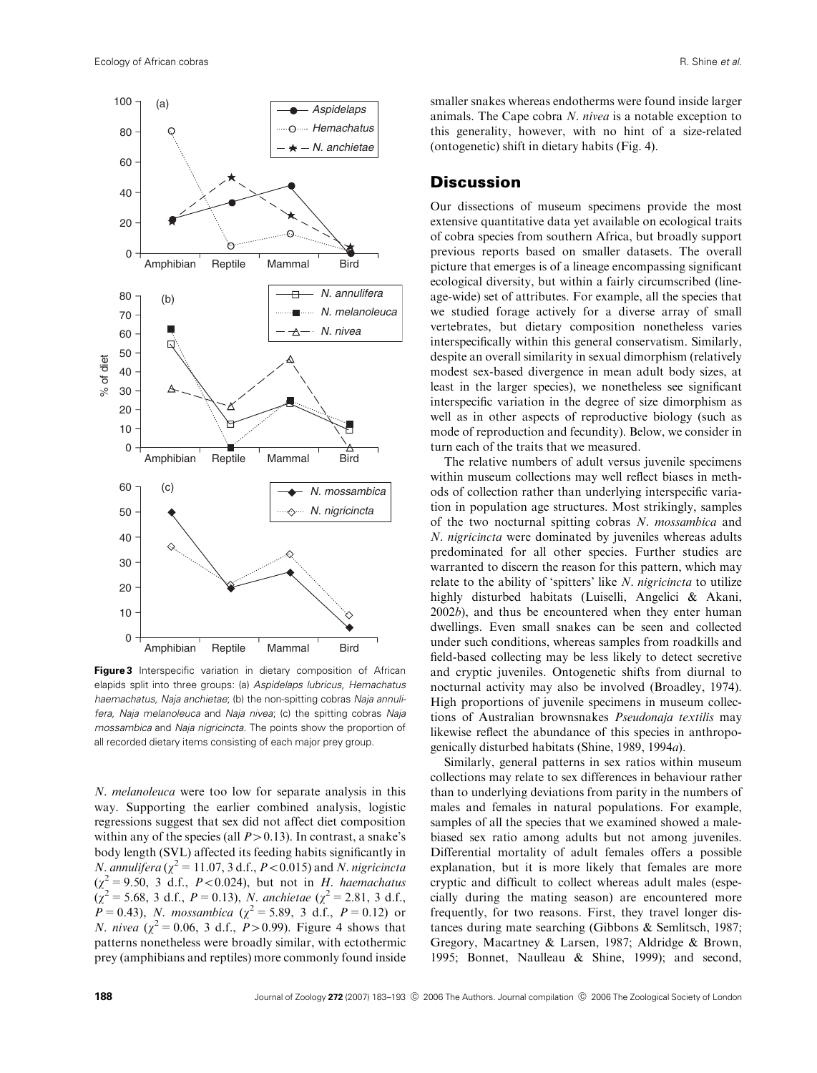

Figure 3 Interspecific variation in dietary composition of African elapids split into three groups: (a) Aspidelaps lubricus, Hemachatus haemachatus, Naja anchietae; (b) the non-spitting cobras Naja annulifera, Naja melanoleuca and Naja nivea; (c) the spitting cobras Naja mossambica and Naja nigricincta. The points show the proportion of all recorded dietary items consisting of each major prey group.

N. melanoleuca were too low for separate analysis in this way. Supporting the earlier combined analysis, logistic regressions suggest that sex did not affect diet composition within any of the species (all  $P > 0.13$ ). In contrast, a snake's body length (SVL) affected its feeding habits significantly in *N. annulifera* ( $\chi^2$  = 11.07, 3 d.f., *P* < 0.015) and *N. nigricincta*  $(\chi^2 = 9.50, 3$  d.f.,  $P < 0.024$ ), but not in H. haemachatus  $(\chi^2 = 5.68, 3$  d.f.,  $P = 0.13$ ), N. anchietae ( $\chi^2 = 2.81, 3$  d.f.,  $P = 0.43$ ), *N. mossambica* ( $\chi^2 = 5.89$ , 3 d.f.,  $P = 0.12$ ) or *N. nivea* ( $\chi^2 = 0.06$ , 3 d.f., *P*>0.99). Figure 4 shows that patterns nonetheless were broadly similar, with ectothermic prey (amphibians and reptiles) more commonly found inside smaller snakes whereas endotherms were found inside larger animals. The Cape cobra N. nivea is a notable exception to this generality, however, with no hint of a size-related (ontogenetic) shift in dietary habits (Fig. 4).

## **Discussion**

Our dissections of museum specimens provide the most extensive quantitative data yet available on ecological traits of cobra species from southern Africa, but broadly support previous reports based on smaller datasets. The overall picture that emerges is of a lineage encompassing significant ecological diversity, but within a fairly circumscribed (lineage-wide) set of attributes. For example, all the species that we studied forage actively for a diverse array of small vertebrates, but dietary composition nonetheless varies interspecifically within this general conservatism. Similarly, despite an overall similarity in sexual dimorphism (relatively modest sex-based divergence in mean adult body sizes, at least in the larger species), we nonetheless see significant interspecific variation in the degree of size dimorphism as well as in other aspects of reproductive biology (such as mode of reproduction and fecundity). Below, we consider in turn each of the traits that we measured.

The relative numbers of adult versus juvenile specimens within museum collections may well reflect biases in methods of collection rather than underlying interspecific variation in population age structures. Most strikingly, samples of the two nocturnal spitting cobras N. mossambica and N. nigricincta were dominated by juveniles whereas adults predominated for all other species. Further studies are warranted to discern the reason for this pattern, which may relate to the ability of 'spitters' like N. nigricincta to utilize highly disturbed habitats (Luiselli, Angelici & Akani, 2002b), and thus be encountered when they enter human dwellings. Even small snakes can be seen and collected under such conditions, whereas samples from roadkills and field-based collecting may be less likely to detect secretive and cryptic juveniles. Ontogenetic shifts from diurnal to nocturnal activity may also be involved (Broadley, 1974). High proportions of juvenile specimens in museum collections of Australian brownsnakes Pseudonaja textilis may likewise reflect the abundance of this species in anthropogenically disturbed habitats (Shine, 1989, 1994a).

Similarly, general patterns in sex ratios within museum collections may relate to sex differences in behaviour rather than to underlying deviations from parity in the numbers of males and females in natural populations. For example, samples of all the species that we examined showed a malebiased sex ratio among adults but not among juveniles. Differential mortality of adult females offers a possible explanation, but it is more likely that females are more cryptic and difficult to collect whereas adult males (especially during the mating season) are encountered more frequently, for two reasons. First, they travel longer distances during mate searching (Gibbons & Semlitsch, 1987; Gregory, Macartney & Larsen, 1987; Aldridge & Brown, 1995; Bonnet, Naulleau & Shine, 1999); and second,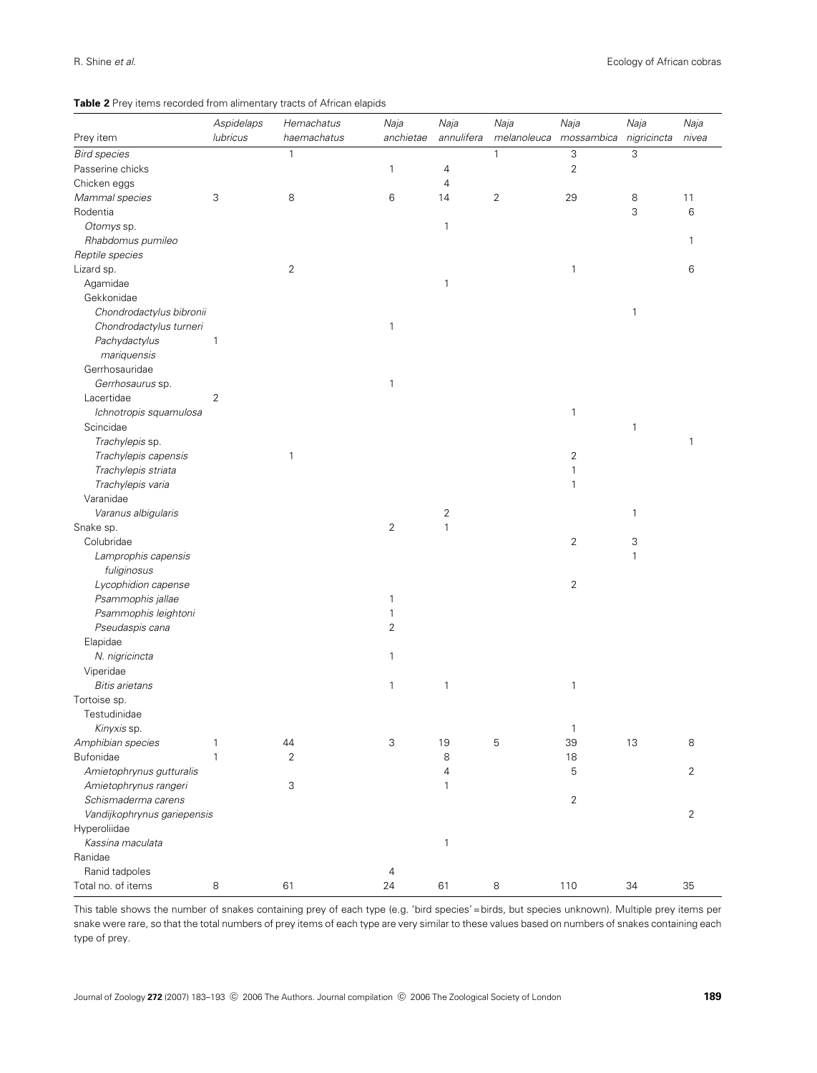## **Table 2** Prey items recorded from alimentary tracts of African elapids

|                             | Aspidelaps | Hemachatus     | Naja         | Naja                           | Naja           | Naja                   | Naja         | Naja           |
|-----------------------------|------------|----------------|--------------|--------------------------------|----------------|------------------------|--------------|----------------|
| Prey item                   | lubricus   | haemachatus    | anchietae    | annulifera                     |                | melanoleuca mossambica | nigricincta  | nivea          |
| <b>Bird species</b>         |            | 1              |              |                                | $\mathbf{1}$   | 3                      | 3            |                |
| Passerine chicks            |            |                | 1            | 4                              |                | $\overline{2}$         |              |                |
| Chicken eggs                |            |                |              | 4                              |                |                        |              |                |
| Mammal species              | 3          | 8              | 6            | 14                             | $\overline{2}$ | 29                     | 8            | 11             |
| Rodentia                    |            |                |              |                                |                |                        | 3            | 6              |
| Otomys sp.                  |            |                |              | $\mathbf{1}$                   |                |                        |              |                |
| Rhabdomus pumileo           |            |                |              |                                |                |                        |              | $\mathbf{1}$   |
| Reptile species             |            |                |              |                                |                |                        |              |                |
| Lizard sp.                  |            | $\overline{2}$ |              |                                |                | 1                      |              | 6              |
| Agamidae                    |            |                |              | $\mathbf{1}$                   |                |                        |              |                |
| Gekkonidae                  |            |                |              |                                |                |                        |              |                |
| Chondrodactylus bibronii    |            |                |              |                                |                |                        | 1            |                |
| Chondrodactylus turneri     |            |                | $\mathbf{1}$ |                                |                |                        |              |                |
| Pachydactylus               | 1          |                |              |                                |                |                        |              |                |
| mariquensis                 |            |                |              |                                |                |                        |              |                |
| Gerrhosauridae              |            |                |              |                                |                |                        |              |                |
| Gerrhosaurus sp.            |            |                | $\mathbf{1}$ |                                |                |                        |              |                |
| Lacertidae                  | 2          |                |              |                                |                |                        |              |                |
| Ichnotropis squamulosa      |            |                |              |                                |                | $\mathbf{1}$           |              |                |
| Scincidae                   |            |                |              |                                |                |                        | 1            |                |
| Trachylepis sp.             |            |                |              |                                |                |                        |              | 1              |
| Trachylepis capensis        |            | 1              |              |                                |                | 2                      |              |                |
| Trachylepis striata         |            |                |              |                                |                | $\mathbf{1}$           |              |                |
| Trachylepis varia           |            |                |              |                                |                | $\mathbf{1}$           |              |                |
| Varanidae                   |            |                |              |                                |                |                        |              |                |
|                             |            |                |              |                                |                |                        | 1            |                |
| Varanus albigularis         |            |                |              | $\overline{2}$<br>$\mathbf{1}$ |                |                        |              |                |
| Snake sp.                   |            |                | 2            |                                |                |                        |              |                |
| Colubridae                  |            |                |              |                                |                | 2                      | 3            |                |
| Lamprophis capensis         |            |                |              |                                |                |                        | $\mathbf{1}$ |                |
| fuliginosus                 |            |                |              |                                |                |                        |              |                |
| Lycophidion capense         |            |                |              |                                |                | 2                      |              |                |
| Psammophis jallae           |            |                | 1            |                                |                |                        |              |                |
| Psammophis leightoni        |            |                | 1            |                                |                |                        |              |                |
| Pseudaspis cana             |            |                | 2            |                                |                |                        |              |                |
| Elapidae                    |            |                |              |                                |                |                        |              |                |
| N. nigricincta              |            |                | 1            |                                |                |                        |              |                |
| Viperidae                   |            |                |              |                                |                |                        |              |                |
| <b>Bitis arietans</b>       |            |                | 1            | $\mathbf{1}$                   |                | $\mathbf{1}$           |              |                |
| Tortoise sp.                |            |                |              |                                |                |                        |              |                |
| Testudinidae                |            |                |              |                                |                |                        |              |                |
| Kinyxis sp.                 |            |                |              |                                |                | 1                      |              |                |
| Amphibian species           | 1          | 44             | 3            | 19                             | 5              | 39                     | 13           | 8              |
| <b>Bufonidae</b>            | 1          | $\overline{2}$ |              | 8                              |                | 18                     |              |                |
| Amietophrynus gutturalis    |            |                |              | $\sqrt{4}$                     |                | 5                      |              | $\overline{2}$ |
| Amietophrynus rangeri       |            | 3              |              | $\mathbf{1}$                   |                |                        |              |                |
| Schismaderma carens         |            |                |              |                                |                | $\overline{2}$         |              |                |
| Vandijkophrynus gariepensis |            |                |              |                                |                |                        |              | $\overline{2}$ |
| Hyperoliidae                |            |                |              |                                |                |                        |              |                |
| Kassina maculata            |            |                |              | $\mathbf{1}$                   |                |                        |              |                |
| Ranidae                     |            |                |              |                                |                |                        |              |                |
| Ranid tadpoles              |            |                | 4            |                                |                |                        |              |                |
| Total no. of items          | 8          | 61             | 24           | 61                             | 8              | 110                    | 34           | 35             |

This table shows the number of snakes containing prey of each type (e.g. 'bird species' = birds, but species unknown). Multiple prey items per snake were rare, so that the total numbers of prey items of each type are very similar to these values based on numbers of snakes containing each type of prey.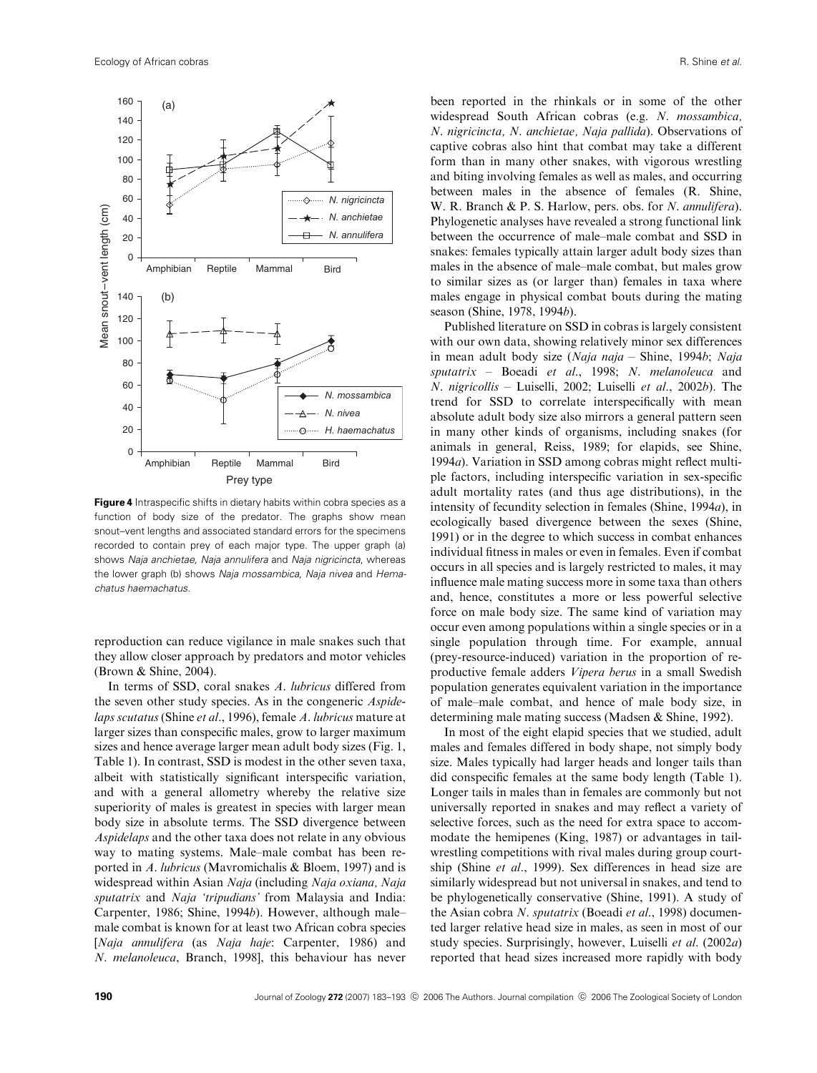

**Figure 4** Intraspecific shifts in dietary habits within cobra species as a function of body size of the predator. The graphs show mean snout–vent lengths and associated standard errors for the specimens recorded to contain prey of each major type. The upper graph (a) shows Naja anchietae, Naja annulifera and Naja nigricincta, whereas the lower graph (b) shows Naja mossambica, Naja nivea and Hemachatus haemachatus.

reproduction can reduce vigilance in male snakes such that they allow closer approach by predators and motor vehicles (Brown & Shine, 2004).

In terms of SSD, coral snakes A. lubricus differed from the seven other study species. As in the congeneric Aspidelaps scutatus (Shine et al., 1996), female A. lubricus mature at larger sizes than conspecific males, grow to larger maximum sizes and hence average larger mean adult body sizes (Fig. 1, Table 1). In contrast, SSD is modest in the other seven taxa, albeit with statistically significant interspecific variation, and with a general allometry whereby the relative size superiority of males is greatest in species with larger mean body size in absolute terms. The SSD divergence between Aspidelaps and the other taxa does not relate in any obvious way to mating systems. Male–male combat has been reported in A. lubricus (Mavromichalis & Bloem, 1997) and is widespread within Asian Naja (including Naja oxiana, Naja sputatrix and Naja 'tripudians' from Malaysia and India: Carpenter, 1986; Shine, 1994b). However, although male– male combat is known for at least two African cobra species [Naja annulifera (as Naja haje: Carpenter, 1986) and N. melanoleuca, Branch, 1998], this behaviour has never been reported in the rhinkals or in some of the other widespread South African cobras (e.g. N. mossambica, N. nigricincta, N. anchietae, Naja pallida). Observations of captive cobras also hint that combat may take a different form than in many other snakes, with vigorous wrestling and biting involving females as well as males, and occurring between males in the absence of females (R. Shine, W. R. Branch & P. S. Harlow, pers. obs. for N. annulifera). Phylogenetic analyses have revealed a strong functional link between the occurrence of male–male combat and SSD in snakes: females typically attain larger adult body sizes than males in the absence of male–male combat, but males grow to similar sizes as (or larger than) females in taxa where males engage in physical combat bouts during the mating season (Shine, 1978, 1994b).

Published literature on SSD in cobras is largely consistent with our own data, showing relatively minor sex differences in mean adult body size (Naja naja – Shine, 1994b; Naja sputatrix - Boeadi et al., 1998; N. melanoleuca and N. nigricollis – Luiselli, 2002; Luiselli et al., 2002b). The trend for SSD to correlate interspecifically with mean absolute adult body size also mirrors a general pattern seen in many other kinds of organisms, including snakes (for animals in general, Reiss, 1989; for elapids, see Shine, 1994a). Variation in SSD among cobras might reflect multiple factors, including interspecific variation in sex-specific adult mortality rates (and thus age distributions), in the intensity of fecundity selection in females (Shine, 1994a), in ecologically based divergence between the sexes (Shine, 1991) or in the degree to which success in combat enhances individual fitness in males or even in females. Even if combat occurs in all species and is largely restricted to males, it may influence male mating success more in some taxa than others and, hence, constitutes a more or less powerful selective force on male body size. The same kind of variation may occur even among populations within a single species or in a single population through time. For example, annual (prey-resource-induced) variation in the proportion of reproductive female adders Vipera berus in a small Swedish population generates equivalent variation in the importance of male–male combat, and hence of male body size, in determining male mating success (Madsen & Shine, 1992).

In most of the eight elapid species that we studied, adult males and females differed in body shape, not simply body size. Males typically had larger heads and longer tails than did conspecific females at the same body length (Table 1). Longer tails in males than in females are commonly but not universally reported in snakes and may reflect a variety of selective forces, such as the need for extra space to accommodate the hemipenes (King, 1987) or advantages in tailwrestling competitions with rival males during group courtship (Shine et al., 1999). Sex differences in head size are similarly widespread but not universal in snakes, and tend to be phylogenetically conservative (Shine, 1991). A study of the Asian cobra N. sputatrix (Boeadi et al., 1998) documented larger relative head size in males, as seen in most of our study species. Surprisingly, however, Luiselli et al. (2002a) reported that head sizes increased more rapidly with body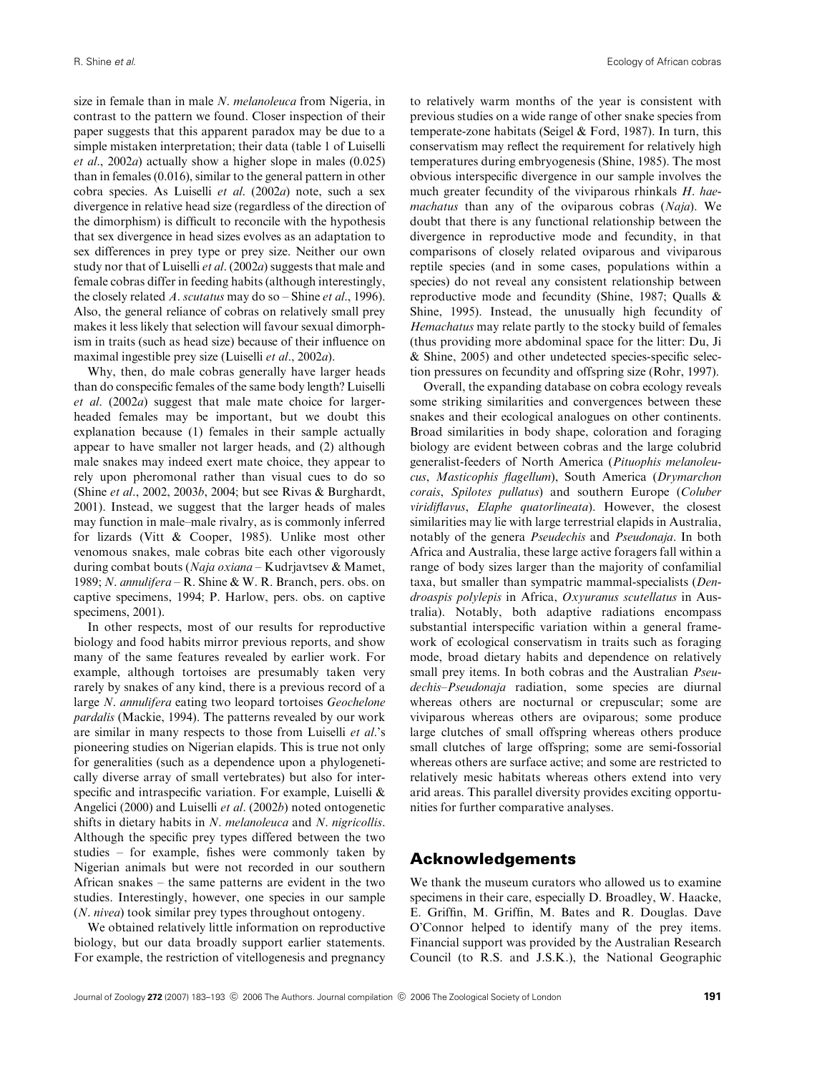size in female than in male N. melanoleuca from Nigeria, in contrast to the pattern we found. Closer inspection of their paper suggests that this apparent paradox may be due to a simple mistaken interpretation; their data (table 1 of Luiselli *et al.*, 2002*a*) actually show a higher slope in males  $(0.025)$ than in females (0.016), similar to the general pattern in other cobra species. As Luiselli et al. (2002a) note, such a sex divergence in relative head size (regardless of the direction of the dimorphism) is difficult to reconcile with the hypothesis that sex divergence in head sizes evolves as an adaptation to sex differences in prey type or prey size. Neither our own study nor that of Luiselli et al. (2002a) suggests that male and female cobras differ in feeding habits (although interestingly, the closely related A. scutatus may do so – Shine et al., 1996). Also, the general reliance of cobras on relatively small prey makes it less likely that selection will favour sexual dimorphism in traits (such as head size) because of their influence on maximal ingestible prey size (Luiselli et al., 2002a).

Why, then, do male cobras generally have larger heads than do conspecific females of the same body length? Luiselli et al. (2002a) suggest that male mate choice for largerheaded females may be important, but we doubt this explanation because (1) females in their sample actually appear to have smaller not larger heads, and (2) although male snakes may indeed exert mate choice, they appear to rely upon pheromonal rather than visual cues to do so (Shine et al., 2002, 2003b, 2004; but see Rivas & Burghardt, 2001). Instead, we suggest that the larger heads of males may function in male–male rivalry, as is commonly inferred for lizards (Vitt & Cooper, 1985). Unlike most other venomous snakes, male cobras bite each other vigorously during combat bouts (Naja oxiana – Kudrjavtsev & Mamet, 1989; N. annulifera – R. Shine & W. R. Branch, pers. obs. on captive specimens, 1994; P. Harlow, pers. obs. on captive specimens, 2001).

In other respects, most of our results for reproductive biology and food habits mirror previous reports, and show many of the same features revealed by earlier work. For example, although tortoises are presumably taken very rarely by snakes of any kind, there is a previous record of a large N. annulifera eating two leopard tortoises Geochelone pardalis (Mackie, 1994). The patterns revealed by our work are similar in many respects to those from Luiselli et al.'s pioneering studies on Nigerian elapids. This is true not only for generalities (such as a dependence upon a phylogenetically diverse array of small vertebrates) but also for interspecific and intraspecific variation. For example, Luiselli & Angelici (2000) and Luiselli et al. (2002b) noted ontogenetic shifts in dietary habits in N. melanoleuca and N. nigricollis. Although the specific prey types differed between the two studies – for example, fishes were commonly taken by Nigerian animals but were not recorded in our southern African snakes – the same patterns are evident in the two studies. Interestingly, however, one species in our sample (N. nivea) took similar prey types throughout ontogeny.

We obtained relatively little information on reproductive biology, but our data broadly support earlier statements. For example, the restriction of vitellogenesis and pregnancy

to relatively warm months of the year is consistent with previous studies on a wide range of other snake species from temperate-zone habitats (Seigel & Ford, 1987). In turn, this conservatism may reflect the requirement for relatively high temperatures during embryogenesis (Shine, 1985). The most obvious interspecific divergence in our sample involves the much greater fecundity of the viviparous rhinkals H. haemachatus than any of the oviparous cobras (Naja). We doubt that there is any functional relationship between the divergence in reproductive mode and fecundity, in that comparisons of closely related oviparous and viviparous reptile species (and in some cases, populations within a species) do not reveal any consistent relationship between reproductive mode and fecundity (Shine, 1987; Qualls & Shine, 1995). Instead, the unusually high fecundity of Hemachatus may relate partly to the stocky build of females (thus providing more abdominal space for the litter: Du, Ji & Shine, 2005) and other undetected species-specific selection pressures on fecundity and offspring size (Rohr, 1997).

Overall, the expanding database on cobra ecology reveals some striking similarities and convergences between these snakes and their ecological analogues on other continents. Broad similarities in body shape, coloration and foraging biology are evident between cobras and the large colubrid generalist-feeders of North America (Pituophis melanoleucus, Masticophis flagellum), South America (Drymarchon corais, Spilotes pullatus) and southern Europe (Coluber viridiflavus, Elaphe quatorlineata). However, the closest similarities may lie with large terrestrial elapids in Australia, notably of the genera Pseudechis and Pseudonaja. In both Africa and Australia, these large active foragers fall within a range of body sizes larger than the majority of confamilial taxa, but smaller than sympatric mammal-specialists (Dendroaspis polylepis in Africa, Oxyuranus scutellatus in Australia). Notably, both adaptive radiations encompass substantial interspecific variation within a general framework of ecological conservatism in traits such as foraging mode, broad dietary habits and dependence on relatively small prey items. In both cobras and the Australian *Pseu*dechis–Pseudonaja radiation, some species are diurnal whereas others are nocturnal or crepuscular; some are viviparous whereas others are oviparous; some produce large clutches of small offspring whereas others produce small clutches of large offspring; some are semi-fossorial whereas others are surface active; and some are restricted to relatively mesic habitats whereas others extend into very arid areas. This parallel diversity provides exciting opportunities for further comparative analyses.

## Acknowledgements

We thank the museum curators who allowed us to examine specimens in their care, especially D. Broadley, W. Haacke, E. Griffin, M. Griffin, M. Bates and R. Douglas. Dave O'Connor helped to identify many of the prey items. Financial support was provided by the Australian Research Council (to R.S. and J.S.K.), the National Geographic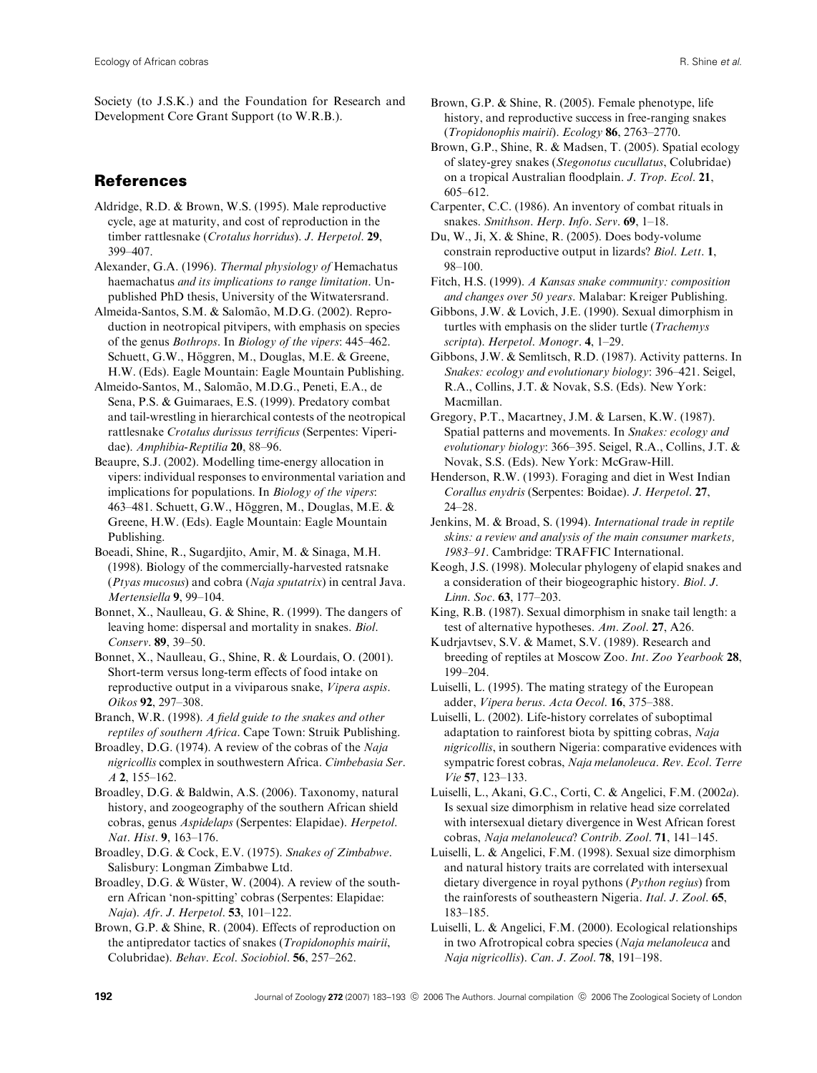Society (to J.S.K.) and the Foundation for Research and Development Core Grant Support (to W.R.B.).

# **References**

- Aldridge, R.D. & Brown, W.S. (1995). Male reproductive cycle, age at maturity, and cost of reproduction in the timber rattlesnake (Crotalus horridus). J. Herpetol. 29, 399–407.
- Alexander, G.A. (1996). Thermal physiology of Hemachatus haemachatus and its implications to range limitation. Unpublished PhD thesis, University of the Witwatersrand.
- Almeida-Santos, S.M. & Salomão, M.D.G. (2002). Reproduction in neotropical pitvipers, with emphasis on species of the genus Bothrops. In Biology of the vipers: 445–462. Schuett, G.W., Höggren, M., Douglas, M.E. & Greene, H.W. (Eds). Eagle Mountain: Eagle Mountain Publishing.
- Almeido-Santos, M., Salomão, M.D.G., Peneti, E.A., de Sena, P.S. & Guimaraes, E.S. (1999). Predatory combat and tail-wrestling in hierarchical contests of the neotropical rattlesnake Crotalus durissus terrificus (Serpentes: Viperidae). Amphibia-Reptilia 20, 88–96.
- Beaupre, S.J. (2002). Modelling time-energy allocation in vipers: individual responses to environmental variation and implications for populations. In *Biology of the vipers*: 463–481. Schuett, G.W., Hoggren, M., Douglas, M.E. & ¨ Greene, H.W. (Eds). Eagle Mountain: Eagle Mountain Publishing.
- Boeadi, Shine, R., Sugardjito, Amir, M. & Sinaga, M.H. (1998). Biology of the commercially-harvested ratsnake (Ptyas mucosus) and cobra (Naja sputatrix) in central Java. Mertensiella 9, 99–104.
- Bonnet, X., Naulleau, G. & Shine, R. (1999). The dangers of leaving home: dispersal and mortality in snakes. Biol. Conserv. 89, 39–50.
- Bonnet, X., Naulleau, G., Shine, R. & Lourdais, O. (2001). Short-term versus long-term effects of food intake on reproductive output in a viviparous snake, Vipera aspis. Oikos 92, 297–308.
- Branch, W.R. (1998). A field guide to the snakes and other reptiles of southern Africa. Cape Town: Struik Publishing.
- Broadley, D.G. (1974). A review of the cobras of the Naja nigricollis complex in southwestern Africa. Cimbebasia Ser. A 2, 155–162.
- Broadley, D.G. & Baldwin, A.S. (2006). Taxonomy, natural history, and zoogeography of the southern African shield cobras, genus Aspidelaps (Serpentes: Elapidae). Herpetol. Nat. Hist. 9, 163–176.
- Broadley, D.G. & Cock, E.V. (1975). Snakes of Zimbabwe. Salisbury: Longman Zimbabwe Ltd.
- Broadley, D.G. & Wüster, W. (2004). A review of the southern African 'non-spitting' cobras (Serpentes: Elapidae: Naja). Afr. J. Herpetol. 53, 101–122.
- Brown, G.P. & Shine, R. (2004). Effects of reproduction on the antipredator tactics of snakes (Tropidonophis mairii, Colubridae). Behav. Ecol. Sociobiol. 56, 257–262.
- Brown, G.P. & Shine, R. (2005). Female phenotype, life history, and reproductive success in free-ranging snakes (Tropidonophis mairii). Ecology 86, 2763–2770.
- Brown, G.P., Shine, R. & Madsen, T. (2005). Spatial ecology of slatey-grey snakes (Stegonotus cucullatus, Colubridae) on a tropical Australian floodplain. J. Trop. Ecol. 21, 605–612.
- Carpenter, C.C. (1986). An inventory of combat rituals in snakes. Smithson. Herp. Info. Serv. 69, 1-18.
- Du, W., Ji, X. & Shine, R. (2005). Does body-volume constrain reproductive output in lizards? Biol. Lett. 1, 98–100.
- Fitch, H.S. (1999). A Kansas snake community: composition and changes over 50 years. Malabar: Kreiger Publishing.
- Gibbons, J.W. & Lovich, J.E. (1990). Sexual dimorphism in turtles with emphasis on the slider turtle (Trachemys scripta). Herpetol. Monogr. 4, 1–29.
- Gibbons, J.W. & Semlitsch, R.D. (1987). Activity patterns. In Snakes: ecology and evolutionary biology: 396–421. Seigel, R.A., Collins, J.T. & Novak, S.S. (Eds). New York: Macmillan.
- Gregory, P.T., Macartney, J.M. & Larsen, K.W. (1987). Spatial patterns and movements. In Snakes: ecology and evolutionary biology: 366–395. Seigel, R.A., Collins, J.T. & Novak, S.S. (Eds). New York: McGraw-Hill.
- Henderson, R.W. (1993). Foraging and diet in West Indian Corallus enydris (Serpentes: Boidae). J. Herpetol. 27, 24–28.
- Jenkins, M. & Broad, S. (1994). International trade in reptile skins: a review and analysis of the main consumer markets, 1983–91. Cambridge: TRAFFIC International.
- Keogh, J.S. (1998). Molecular phylogeny of elapid snakes and a consideration of their biogeographic history. Biol. J. Linn. Soc. 63, 177–203.
- King, R.B. (1987). Sexual dimorphism in snake tail length: a test of alternative hypotheses. Am. Zool. 27, A26.
- Kudrjavtsev, S.V. & Mamet, S.V. (1989). Research and breeding of reptiles at Moscow Zoo. Int. Zoo Yearbook 28, 199–204.
- Luiselli, L. (1995). The mating strategy of the European adder, Vipera berus. Acta Oecol. 16, 375–388.
- Luiselli, L. (2002). Life-history correlates of suboptimal adaptation to rainforest biota by spitting cobras, Naja nigricollis, in southern Nigeria: comparative evidences with sympatric forest cobras, Naja melanoleuca. Rev. Ecol. Terre Vie 57, 123–133.
- Luiselli, L., Akani, G.C., Corti, C. & Angelici, F.M. (2002a). Is sexual size dimorphism in relative head size correlated with intersexual dietary divergence in West African forest cobras, Naja melanoleuca? Contrib. Zool. 71, 141–145.
- Luiselli, L. & Angelici, F.M. (1998). Sexual size dimorphism and natural history traits are correlated with intersexual dietary divergence in royal pythons (Python regius) from the rainforests of southeastern Nigeria. Ital. J. Zool. 65, 183–185.
- Luiselli, L. & Angelici, F.M. (2000). Ecological relationships in two Afrotropical cobra species (Naja melanoleuca and Naja nigricollis). Can. J. Zool. 78, 191–198.